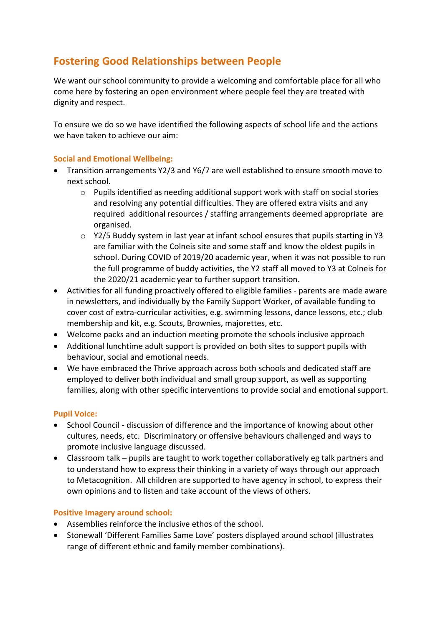# **Fostering Good Relationships between People**

We want our school community to provide a welcoming and comfortable place for all who come here by fostering an open environment where people feel they are treated with dignity and respect.

To ensure we do so we have identified the following aspects of school life and the actions we have taken to achieve our aim:

### **Social and Emotional Wellbeing:**

- Transition arrangements Y2/3 and Y6/7 are well established to ensure smooth move to next school.
	- $\circ$  Pupils identified as needing additional support work with staff on social stories and resolving any potential difficulties. They are offered extra visits and any required additional resources / staffing arrangements deemed appropriate are organised.
	- o Y2/5 Buddy system in last year at infant school ensures that pupils starting in Y3 are familiar with the Colneis site and some staff and know the oldest pupils in school. During COVID of 2019/20 academic year, when it was not possible to run the full programme of buddy activities, the Y2 staff all moved to Y3 at Colneis for the 2020/21 academic year to further support transition.
- Activities for all funding proactively offered to eligible families parents are made aware in newsletters, and individually by the Family Support Worker, of available funding to cover cost of extra-curricular activities, e.g. swimming lessons, dance lessons, etc.; club membership and kit, e.g. Scouts, Brownies, majorettes, etc.
- Welcome packs and an induction meeting promote the schools inclusive approach
- Additional lunchtime adult support is provided on both sites to support pupils with behaviour, social and emotional needs.
- We have embraced the Thrive approach across both schools and dedicated staff are employed to deliver both individual and small group support, as well as supporting families, along with other specific interventions to provide social and emotional support.

## **Pupil Voice:**

- School Council discussion of difference and the importance of knowing about other cultures, needs, etc. Discriminatory or offensive behaviours challenged and ways to promote inclusive language discussed.
- Classroom talk pupils are taught to work together collaboratively eg talk partners and to understand how to express their thinking in a variety of ways through our approach to Metacognition. All children are supported to have agency in school, to express their own opinions and to listen and take account of the views of others.

## **Positive Imagery around school:**

- Assemblies reinforce the inclusive ethos of the school.
- Stonewall 'Different Families Same Love' posters displayed around school (illustrates range of different ethnic and family member combinations).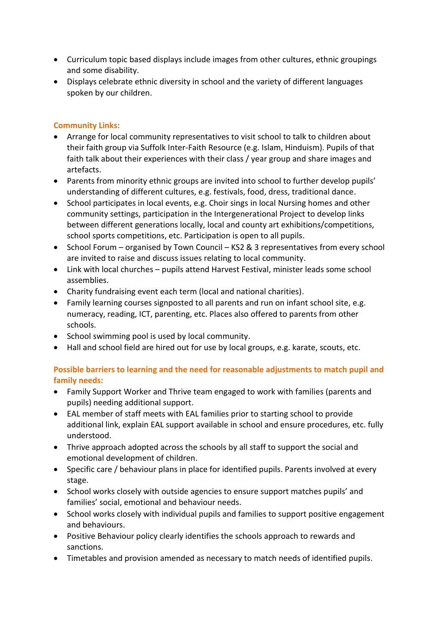- Curriculum topic based displays include images from other cultures, ethnic groupings and some disability.
- Displays celebrate ethnic diversity in school and the variety of different languages spoken by our children.

## **Community Links:**

- Arrange for local community representatives to visit school to talk to children about their faith group via Suffolk Inter-Faith Resource (e.g. Islam, Hinduism). Pupils of that faith talk about their experiences with their class / year group and share images and artefacts.
- Parents from minority ethnic groups are invited into school to further develop pupils' understanding of different cultures, e.g. festivals, food, dress, traditional dance.
- School participates in local events, e.g. Choir sings in local Nursing homes and other community settings, participation in the Intergenerational Project to develop links between different generations locally, local and county art exhibitions/competitions, school sports competitions, etc. Participation is open to all pupils.
- School Forum organised by Town Council KS2 & 3 representatives from every school are invited to raise and discuss issues relating to local community.
- Link with local churches pupils attend Harvest Festival, minister leads some school assemblies.
- Charity fundraising event each term (local and national charities).
- Family learning courses signposted to all parents and run on infant school site, e.g. numeracy, reading, ICT, parenting, etc. Places also offered to parents from other schools.
- School swimming pool is used by local community.
- Hall and school field are hired out for use by local groups, e.g. karate, scouts, etc.

# **Possible barriers to learning and the need for reasonable adjustments to match pupil and family needs:**

- Family Support Worker and Thrive team engaged to work with families (parents and pupils) needing additional support.
- EAL member of staff meets with EAL families prior to starting school to provide additional link, explain EAL support available in school and ensure procedures, etc. fully understood.
- Thrive approach adopted across the schools by all staff to support the social and emotional development of children.
- Specific care / behaviour plans in place for identified pupils. Parents involved at every stage.
- School works closely with outside agencies to ensure support matches pupils' and families' social, emotional and behaviour needs.
- School works closely with individual pupils and families to support positive engagement and behaviours.
- Positive Behaviour policy clearly identifies the schools approach to rewards and sanctions.
- Timetables and provision amended as necessary to match needs of identified pupils.